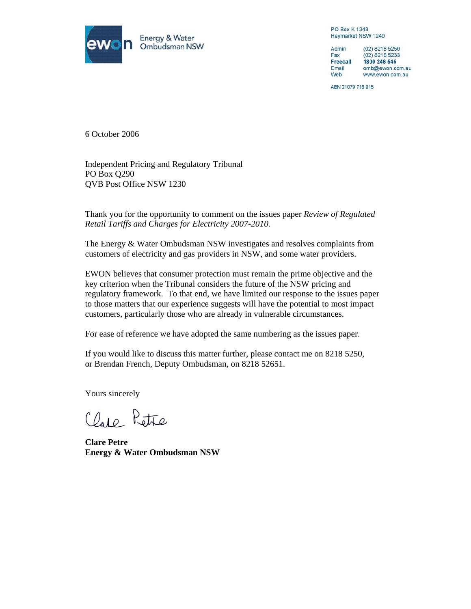

**PO Box K1343** Haymarket NSW 1240

Admin (02) 8218 5250  $(02)$  8218 5233 Fax **Freecall** 1800 246 545 omb@ewon.com.au Email Web www.ewon.com.au

ABN 21079 718 915

6 October 2006

Independent Pricing and Regulatory Tribunal PO Box Q290 QVB Post Office NSW 1230

Thank you for the opportunity to comment on the issues paper *Review of Regulated Retail Tariffs and Charges for Electricity 2007-2010.*

The Energy & Water Ombudsman NSW investigates and resolves complaints from customers of electricity and gas providers in NSW, and some water providers.

EWON believes that consumer protection must remain the prime objective and the key criterion when the Tribunal considers the future of the NSW pricing and regulatory framework. To that end, we have limited our response to the issues paper to those matters that our experience suggests will have the potential to most impact customers, particularly those who are already in vulnerable circumstances.

For ease of reference we have adopted the same numbering as the issues paper.

If you would like to discuss this matter further, please contact me on 8218 5250, or Brendan French, Deputy Ombudsman, on 8218 52651.

Yours sincerely

Clare Petre

**Clare Petre Energy & Water Ombudsman NSW**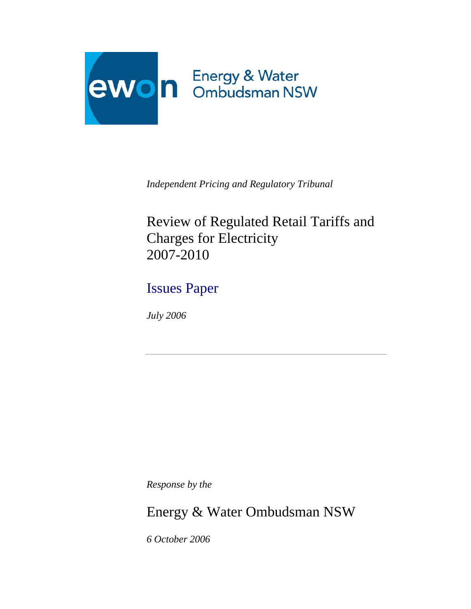

*Independent Pricing and Regulatory Tribunal*

Review of Regulated Retail Tariffs and Charges for Electricity 2007-2010

Issues Paper

*July 2006* 

*Response by the*

Energy & Water Ombudsman NSW

*6 October 2006*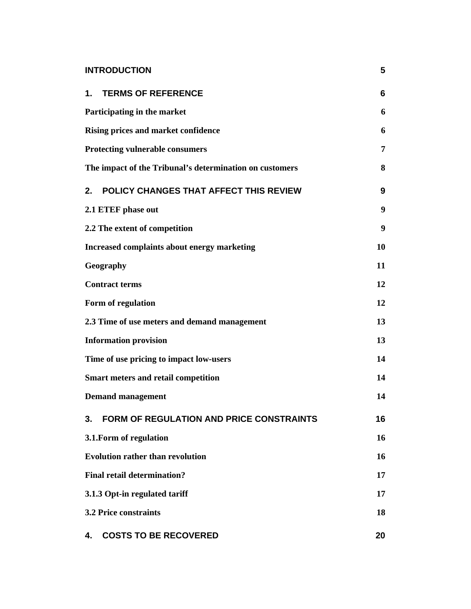| <b>INTRODUCTION</b>                                     | 5  |
|---------------------------------------------------------|----|
| 1. TERMS OF REFERENCE                                   | 6  |
| Participating in the market                             | 6  |
| <b>Rising prices and market confidence</b>              | 6  |
| <b>Protecting vulnerable consumers</b>                  | 7  |
| The impact of the Tribunal's determination on customers | 8  |
| POLICY CHANGES THAT AFFECT THIS REVIEW<br>2.            | 9  |
| 2.1 ETEF phase out                                      | 9  |
| 2.2 The extent of competition                           | 9  |
| <b>Increased complaints about energy marketing</b>      | 10 |
| Geography                                               | 11 |
| <b>Contract terms</b>                                   | 12 |
| Form of regulation                                      | 12 |
| 2.3 Time of use meters and demand management            | 13 |
| <b>Information provision</b>                            | 13 |
| Time of use pricing to impact low-users                 | 14 |
| <b>Smart meters and retail competition</b>              | 14 |
| <b>Demand management</b>                                | 14 |
| <b>FORM OF REGULATION AND PRICE CONSTRAINTS</b><br>3.   | 16 |
| 3.1. Form of regulation                                 | 16 |
| <b>Evolution rather than revolution</b>                 | 16 |
| <b>Final retail determination?</b>                      | 17 |
| 3.1.3 Opt-in regulated tariff                           | 17 |
| <b>3.2 Price constraints</b>                            | 18 |
| <b>COSTS TO BE RECOVERED</b><br>4.                      | 20 |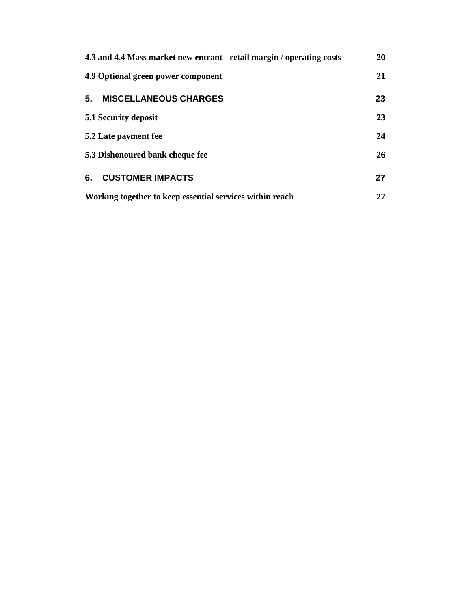| 4.3 and 4.4 Mass market new entrant - retail margin / operating costs | <b>20</b> |
|-----------------------------------------------------------------------|-----------|
| 4.9 Optional green power component                                    | 21        |
| 5.<br><b>MISCELLANEOUS CHARGES</b>                                    | 23        |
| 5.1 Security deposit                                                  | 23        |
| 5.2 Late payment fee                                                  | 24        |
| 5.3 Dishonoured bank cheque fee                                       | 26        |
| 6.<br><b>CUSTOMER IMPACTS</b>                                         | 27        |
| Working together to keep essential services within reach              | 27        |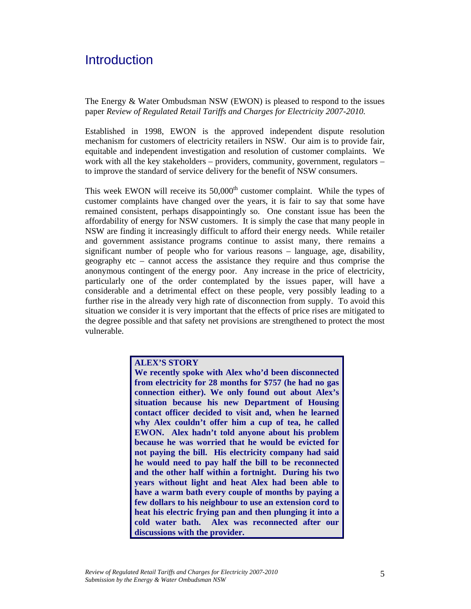# **Introduction**

The Energy & Water Ombudsman NSW (EWON) is pleased to respond to the issues paper *Review of Regulated Retail Tariffs and Charges for Electricity 2007-2010.*

Established in 1998, EWON is the approved independent dispute resolution mechanism for customers of electricity retailers in NSW. Our aim is to provide fair, equitable and independent investigation and resolution of customer complaints. We work with all the key stakeholders – providers, community, government, regulators – to improve the standard of service delivery for the benefit of NSW consumers.

This week EWON will receive its  $50,000<sup>th</sup>$  customer complaint. While the types of customer complaints have changed over the years, it is fair to say that some have remained consistent, perhaps disappointingly so. One constant issue has been the affordability of energy for NSW customers. It is simply the case that many people in NSW are finding it increasingly difficult to afford their energy needs. While retailer and government assistance programs continue to assist many, there remains a significant number of people who for various reasons – language, age, disability, geography etc – cannot access the assistance they require and thus comprise the anonymous contingent of the energy poor. Any increase in the price of electricity, particularly one of the order contemplated by the issues paper, will have a considerable and a detrimental effect on these people, very possibly leading to a further rise in the already very high rate of disconnection from supply. To avoid this situation we consider it is very important that the effects of price rises are mitigated to the degree possible and that safety net provisions are strengthened to protect the most vulnerable.

### **ALEX'S STORY**

**We recently spoke with Alex who'd been disconnected from electricity for 28 months for \$757 (he had no gas connection either). We only found out about Alex's situation because his new Department of Housing contact officer decided to visit and, when he learned why Alex couldn't offer him a cup of tea, he called EWON. Alex hadn't told anyone about his problem because he was worried that he would be evicted for not paying the bill. His electricity company had said he would need to pay half the bill to be reconnected and the other half within a fortnight. During his two years without light and heat Alex had been able to have a warm bath every couple of months by paying a few dollars to his neighbour to use an extension cord to heat his electric frying pan and then plunging it into a cold water bath. Alex was reconnected after our discussions with the provider.**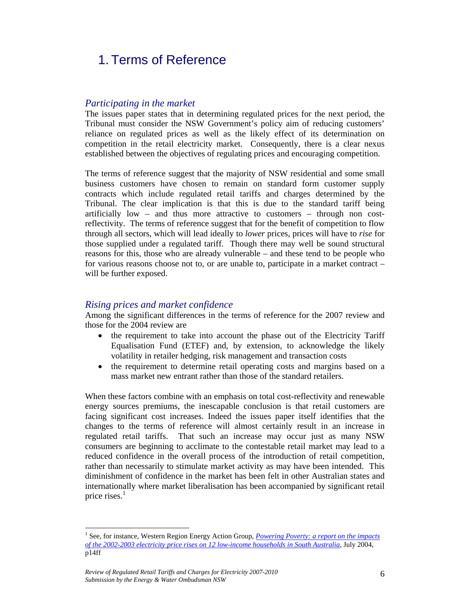# 1. Terms of Reference

#### *Participating in the market*

The issues paper states that in determining regulated prices for the next period, the Tribunal must consider the NSW Government's policy aim of reducing customers' reliance on regulated prices as well as the likely effect of its determination on competition in the retail electricity market. Consequently, there is a clear nexus established between the objectives of regulating prices and encouraging competition.

The terms of reference suggest that the majority of NSW residential and some small business customers have chosen to remain on standard form customer supply contracts which include regulated retail tariffs and charges determined by the Tribunal. The clear implication is that this is due to the standard tariff being artificially low – and thus more attractive to customers – through non costreflectivity. The terms of reference suggest that for the benefit of competition to flow through all sectors, which will lead ideally to *lower* prices, prices will have to *rise* for those supplied under a regulated tariff. Though there may well be sound structural reasons for this, those who are already vulnerable – and these tend to be people who for various reasons choose not to, or are unable to, participate in a market contract – will be further exposed.

#### *Rising prices and market confidence*

Among the significant differences in the terms of reference for the 2007 review and those for the 2004 review are

- the requirement to take into account the phase out of the Electricity Tariff Equalisation Fund (ETEF) and, by extension, to acknowledge the likely volatility in retailer hedging, risk management and transaction costs
- the requirement to determine retail operating costs and margins based on a mass market new entrant rather than those of the standard retailers.

When these factors combine with an emphasis on total cost-reflectivity and renewable energy sources premiums, the inescapable conclusion is that retail customers are facing significant cost increases. Indeed the issues paper itself identifies that the changes to the terms of reference will almost certainly result in an increase in regulated retail tariffs. That such an increase may occur just as many NSW consumers are beginning to acclimate to the contestable retail market may lead to a reduced confidence in the overall process of the introduction of retail competition, rather than necessarily to stimulate market activity as may have been intended. This diminishment of confidence in the market has been felt in other Australian states and internationally where market liberalisation has been accompanied by significant retail price rises. $<sup>1</sup>$ </sup>

 $\overline{a}$ 

<sup>&</sup>lt;sup>1</sup> See, for instance, Western Region Energy Action Group, *Powering Poverty: a report on the impacts of the 2002-2003 electricity price rises on 12 low-income households in South Australia*, July 2004, p14ff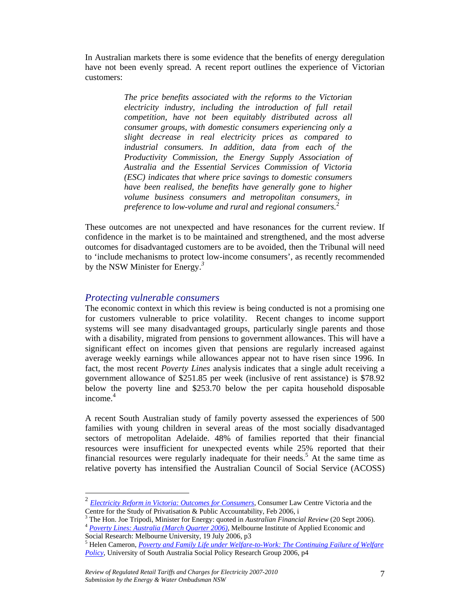In Australian markets there is some evidence that the benefits of energy deregulation have not been evenly spread. A recent report outlines the experience of Victorian customers:

> *The price benefits associated with the reforms to the Victorian electricity industry, including the introduction of full retail competition, have not been equitably distributed across all consumer groups, with domestic consumers experiencing only a slight decrease in real electricity prices as compared to industrial consumers. In addition, data from each of the Productivity Commission, the Energy Supply Association of Australia and the Essential Services Commission of Victoria (ESC) indicates that where price savings to domestic consumers have been realised, the benefits have generally gone to higher volume business consumers and metropolitan consumers, in preference to low-volume and rural and regional consumers.*<sup>2</sup>

These outcomes are not unexpected and have resonances for the current review. If confidence in the market is to be maintained and strengthened, and the most adverse outcomes for disadvantaged customers are to be avoided, then the Tribunal will need to 'include mechanisms to protect low-income consumers', as recently recommended by the NSW Minister for Energy.*<sup>3</sup>*

## *Protecting vulnerable consumers*

 $\overline{a}$ 

The economic context in which this review is being conducted is not a promising one for customers vulnerable to price volatility. Recent changes to income support systems will see many disadvantaged groups, particularly single parents and those with a disability, migrated from pensions to government allowances. This will have a significant effect on incomes given that pensions are regularly increased against average weekly earnings while allowances appear not to have risen since 1996. In fact, the most recent *Poverty Lines* analysis indicates that a single adult receiving a government allowance of \$251.85 per week (inclusive of rent assistance) is \$78.92 below the poverty line and \$253.70 below the per capita household disposable income. $4$ 

A recent South Australian study of family poverty assessed the experiences of 500 families with young children in several areas of the most socially disadvantaged sectors of metropolitan Adelaide. 48% of families reported that their financial resources were insufficient for unexpected events while 25% reported that their financial resources were regularly inadequate for their needs.<sup>5</sup> At the same time as relative poverty has intensified the Australian Council of Social Service (ACOSS)

 $3$  The Hon. Joe Tripodi, Minister for Energy: quoted in Australian Financial Review (20 Sept 2006).

<sup>4</sup> Poverty Lines: Australia (March Quarter 2006), Melbourne Institute of Applied Economic and Social Research: Melbourne University, 19 July 2006, p3

<sup>2</sup> *Electricity Reform in Victoria: Outcomes for Consumers*, Consumer Law Centre Victoria and the Centre for the Study of Privatisation & Public Accountability, Feb 2006, i

<sup>&</sup>lt;sup>5</sup> Helen Cameron, *Poverty and Family Life under Welfare-to-Work: The Continuing Failure of Welfare Policy*, University of South Australia Social Policy Research Group 2006, p4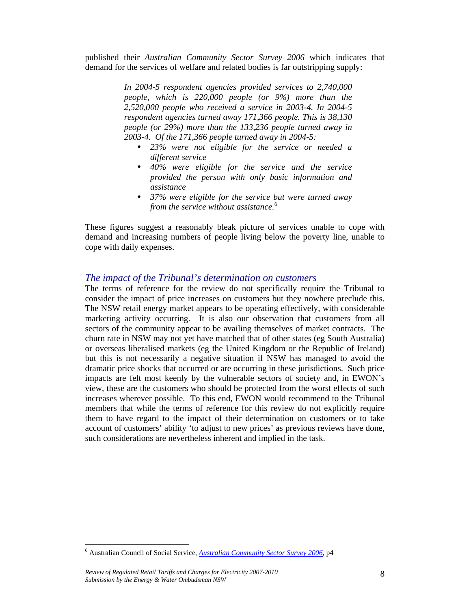published their *Australian Community Sector Survey 2006* which indicates that demand for the services of welfare and related bodies is far outstripping supply:

> *In 2004-5 respondent agencies provided services to 2,740,000 people, which is 220,000 people (or 9%) more than the 2,520,000 people who received a service in 2003-4. In 2004-5 respondent agencies turned away 171,366 people. This is 38,130 people (or 29%) more than the 133,236 people turned away in 2003-4. Of the 171,366 people turned away in 2004-5:*

- 23% were not eligible for the service or needed a *different service*
- 40% were eligible for the service and the service *provided the person with only basic information and assistance*
- 37% were eligible for the service but were turned away *from the service without assistance.<sup>6</sup>*

These figures suggest a reasonably bleak picture of services unable to cope with demand and increasing numbers of people living below the poverty line, unable to cope with daily expenses.

## *The impact of the Tribunal's determination on customers*

The terms of reference for the review do not specifically require the Tribunal to consider the impact of price increases on customers but they nowhere preclude this. The NSW retail energy market appears to be operating effectively, with considerable marketing activity occurring. It is also our observation that customers from all sectors of the community appear to be availing themselves of market contracts. The churn rate in NSW may not yet have matched that of other states (eg South Australia) or overseas liberalised markets (eg the United Kingdom or the Republic of Ireland) but this is not necessarily a negative situation if NSW has managed to avoid the dramatic price shocks that occurred or are occurring in these jurisdictions. Such price impacts are felt most keenly by the vulnerable sectors of society and, in EWON's view, these are the customers who should be protected from the worst effects of such increases wherever possible. To this end, EWON would recommend to the Tribunal members that while the terms of reference for this review do not explicitly require them to have regard to the impact of their determination on customers or to take account of customers' ability 'to adjust to new prices' as previous reviews have done, such considerations are nevertheless inherent and implied in the task.

 $\overline{a}$ 

<sup>&</sup>lt;sup>6</sup> Australian Council of Social Service, *Australian Community Sector Survey 2006*, p4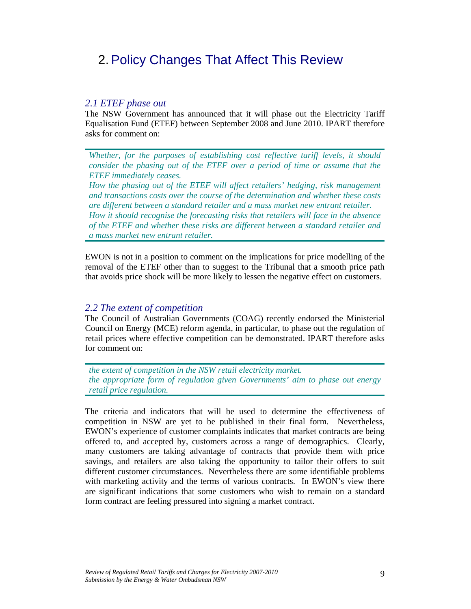# 2. Policy Changes That Affect This Review

## *2.1 ETEF phase out*

The NSW Government has announced that it will phase out the Electricity Tariff Equalisation Fund (ETEF) between September 2008 and June 2010. IPART therefore asks for comment on:

*Whether, for the purposes of establishing cost reflective tariff levels, it should consider the phasing out of the ETEF over a period of time or assume that the ETEF immediately ceases.* 

*How the phasing out of the ETEF will affect retailers' hedging, risk management and transactions costs over the course of the determination and whether these costs are different between a standard retailer and a mass market new entrant retailer. How it should recognise the forecasting risks that retailers will face in the absence of the ETEF and whether these risks are different between a standard retailer and a mass market new entrant retailer.*

EWON is not in a position to comment on the implications for price modelling of the removal of the ETEF other than to suggest to the Tribunal that a smooth price path that avoids price shock will be more likely to lessen the negative effect on customers.

### *2.2 The extent of competition*

The Council of Australian Governments (COAG) recently endorsed the Ministerial Council on Energy (MCE) reform agenda, in particular, to phase out the regulation of retail prices where effective competition can be demonstrated. IPART therefore asks for comment on:

*the extent of competition in the NSW retail electricity market. the appropriate form of regulation given Governments' aim to phase out energy retail price regulation.*

The criteria and indicators that will be used to determine the effectiveness of competition in NSW are yet to be published in their final form. Nevertheless, EWON's experience of customer complaints indicates that market contracts are being offered to, and accepted by, customers across a range of demographics. Clearly, many customers are taking advantage of contracts that provide them with price savings, and retailers are also taking the opportunity to tailor their offers to suit different customer circumstances. Nevertheless there are some identifiable problems with marketing activity and the terms of various contracts. In EWON's view there are significant indications that some customers who wish to remain on a standard form contract are feeling pressured into signing a market contract.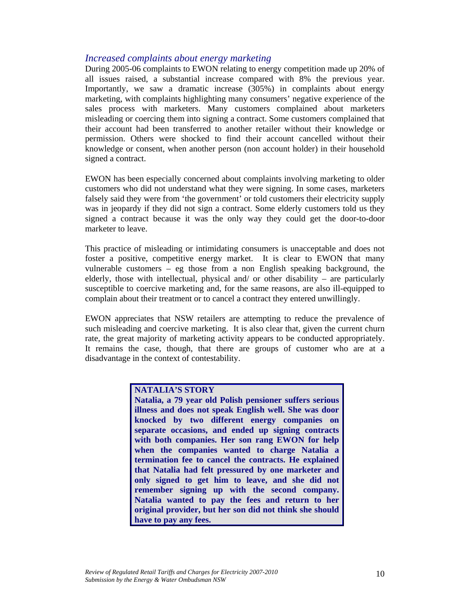# *Increased complaints about energy marketing*

During 2005-06 complaints to EWON relating to energy competition made up 20% of all issues raised, a substantial increase compared with 8% the previous year. Importantly, we saw a dramatic increase (305%) in complaints about energy marketing, with complaints highlighting many consumers' negative experience of the sales process with marketers. Many customers complained about marketers misleading or coercing them into signing a contract. Some customers complained that their account had been transferred to another retailer without their knowledge or permission. Others were shocked to find their account cancelled without their knowledge or consent, when another person (non account holder) in their household signed a contract.

EWON has been especially concerned about complaints involving marketing to older customers who did not understand what they were signing. In some cases, marketers falsely said they were from 'the government' or told customers their electricity supply was in jeopardy if they did not sign a contract. Some elderly customers told us they signed a contract because it was the only way they could get the door-to-door marketer to leave.

This practice of misleading or intimidating consumers is unacceptable and does not foster a positive, competitive energy market. It is clear to EWON that many vulnerable customers – eg those from a non English speaking background, the elderly, those with intellectual, physical and/ or other disability – are particularly susceptible to coercive marketing and, for the same reasons, are also ill-equipped to complain about their treatment or to cancel a contract they entered unwillingly.

EWON appreciates that NSW retailers are attempting to reduce the prevalence of such misleading and coercive marketing. It is also clear that, given the current churn rate, the great majority of marketing activity appears to be conducted appropriately. It remains the case, though, that there are groups of customer who are at a disadvantage in the context of contestability.

## **NATALIA'S STORY**

**Natalia, a 79 year old Polish pensioner suffers serious illness and does not speak English well. She was door knocked by two different energy companies on separate occasions, and ended up signing contracts with both companies. Her son rang EWON for help when the companies wanted to charge Natalia a termination fee to cancel the contracts. He explained that Natalia had felt pressured by one marketer and only signed to get him to leave, and she did not remember signing up with the second company. Natalia wanted to pay the fees and return to her original provider, but her son did not think she should have to pay any fees.**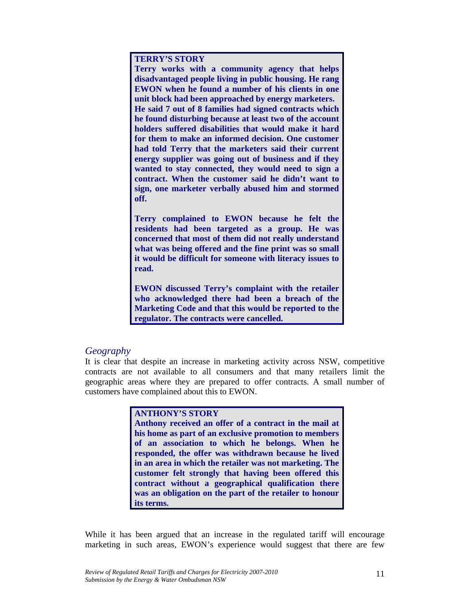**TERRY'S STORY** 

**Terry works with a community agency that helps disadvantaged people living in public housing. He rang EWON when he found a number of his clients in one unit block had been approached by energy marketers. He said 7 out of 8 families had signed contracts which he found disturbing because at least two of the account holders suffered disabilities that would make it hard for them to make an informed decision. One customer had told Terry that the marketers said their current energy supplier was going out of business and if they wanted to stay connected, they would need to sign a contract. When the customer said he didn't want to sign, one marketer verbally abused him and stormed off.** 

**Terry complained to EWON because he felt the residents had been targeted as a group. He was concerned that most of them did not really understand what was being offered and the fine print was so small it would be difficult for someone with literacy issues to read.** 

**EWON discussed Terry's complaint with the retailer who acknowledged there had been a breach of the Marketing Code and that this would be reported to the regulator. The contracts were cancelled.**

## *Geography*

It is clear that despite an increase in marketing activity across NSW, competitive contracts are not available to all consumers and that many retailers limit the geographic areas where they are prepared to offer contracts. A small number of customers have complained about this to EWON.

#### **ANTHONY'S STORY**

**Anthony received an offer of a contract in the mail at his home as part of an exclusive promotion to members of an association to which he belongs. When he responded, the offer was withdrawn because he lived in an area in which the retailer was not marketing. The customer felt strongly that having been offered this contract without a geographical qualification there was an obligation on the part of the retailer to honour its terms.**

While it has been argued that an increase in the regulated tariff will encourage marketing in such areas, EWON's experience would suggest that there are few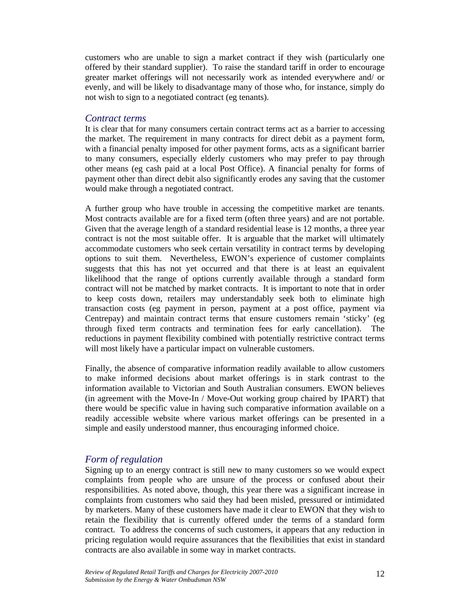customers who are unable to sign a market contract if they wish (particularly one offered by their standard supplier). To raise the standard tariff in order to encourage greater market offerings will not necessarily work as intended everywhere and/ or evenly, and will be likely to disadvantage many of those who, for instance, simply do not wish to sign to a negotiated contract (eg tenants).

#### *Contract terms*

It is clear that for many consumers certain contract terms act as a barrier to accessing the market. The requirement in many contracts for direct debit as a payment form, with a financial penalty imposed for other payment forms, acts as a significant barrier to many consumers, especially elderly customers who may prefer to pay through other means (eg cash paid at a local Post Office). A financial penalty for forms of payment other than direct debit also significantly erodes any saving that the customer would make through a negotiated contract.

A further group who have trouble in accessing the competitive market are tenants. Most contracts available are for a fixed term (often three years) and are not portable. Given that the average length of a standard residential lease is 12 months, a three year contract is not the most suitable offer. It is arguable that the market will ultimately accommodate customers who seek certain versatility in contract terms by developing options to suit them. Nevertheless, EWON's experience of customer complaints suggests that this has not yet occurred and that there is at least an equivalent likelihood that the range of options currently available through a standard form contract will not be matched by market contracts. It is important to note that in order to keep costs down, retailers may understandably seek both to eliminate high transaction costs (eg payment in person, payment at a post office, payment via Centrepay) and maintain contract terms that ensure customers remain 'sticky' (eg through fixed term contracts and termination fees for early cancellation). The reductions in payment flexibility combined with potentially restrictive contract terms will most likely have a particular impact on vulnerable customers.

Finally, the absence of comparative information readily available to allow customers to make informed decisions about market offerings is in stark contrast to the information available to Victorian and South Australian consumers. EWON believes (in agreement with the Move-In / Move-Out working group chaired by IPART) that there would be specific value in having such comparative information available on a readily accessible website where various market offerings can be presented in a simple and easily understood manner, thus encouraging informed choice.

# *Form of regulation*

Signing up to an energy contract is still new to many customers so we would expect complaints from people who are unsure of the process or confused about their responsibilities. As noted above, though, this year there was a significant increase in complaints from customers who said they had been misled, pressured or intimidated by marketers. Many of these customers have made it clear to EWON that they wish to retain the flexibility that is currently offered under the terms of a standard form contract. To address the concerns of such customers, it appears that any reduction in pricing regulation would require assurances that the flexibilities that exist in standard contracts are also available in some way in market contracts.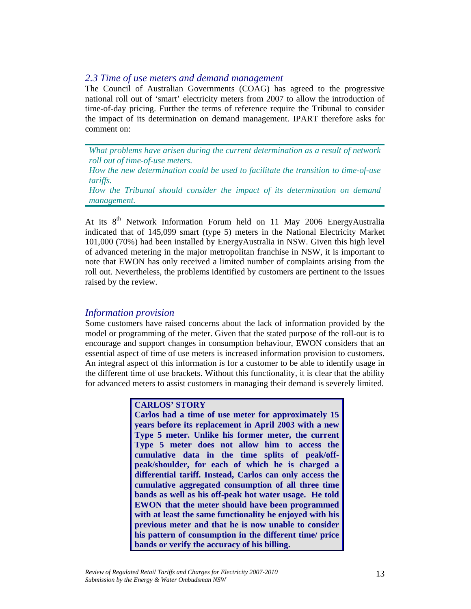## *2.3 Time of use meters and demand management*

The Council of Australian Governments (COAG) has agreed to the progressive national roll out of 'smart' electricity meters from 2007 to allow the introduction of time-of-day pricing. Further the terms of reference require the Tribunal to consider the impact of its determination on demand management. IPART therefore asks for comment on:

*What problems have arisen during the current determination as a result of network roll out of time-of-use meters.* 

*How the new determination could be used to facilitate the transition to time-of-use tariffs.* 

*How the Tribunal should consider the impact of its determination on demand management.*

At its 8<sup>th</sup> Network Information Forum held on 11 May 2006 EnergyAustralia indicated that of 145,099 smart (type 5) meters in the National Electricity Market 101,000 (70%) had been installed by EnergyAustralia in NSW. Given this high level of advanced metering in the major metropolitan franchise in NSW, it is important to note that EWON has only received a limited number of complaints arising from the roll out. Nevertheless, the problems identified by customers are pertinent to the issues raised by the review.

## *Information provision*

Some customers have raised concerns about the lack of information provided by the model or programming of the meter. Given that the stated purpose of the roll-out is to encourage and support changes in consumption behaviour, EWON considers that an essential aspect of time of use meters is increased information provision to customers. An integral aspect of this information is for a customer to be able to identify usage in the different time of use brackets. Without this functionality, it is clear that the ability for advanced meters to assist customers in managing their demand is severely limited.

## **CARLOS' STORY**

**Carlos had a time of use meter for approximately 15 years before its replacement in April 2003 with a new Type 5 meter. Unlike his former meter, the current Type 5 meter does not allow him to access the cumulative data in the time splits of peak/offpeak/shoulder, for each of which he is charged a differential tariff. Instead, Carlos can only access the cumulative aggregated consumption of all three time bands as well as his off-peak hot water usage. He told EWON that the meter should have been programmed with at least the same functionality he enjoyed with his previous meter and that he is now unable to consider his pattern of consumption in the different time/ price bands or verify the accuracy of his billing.**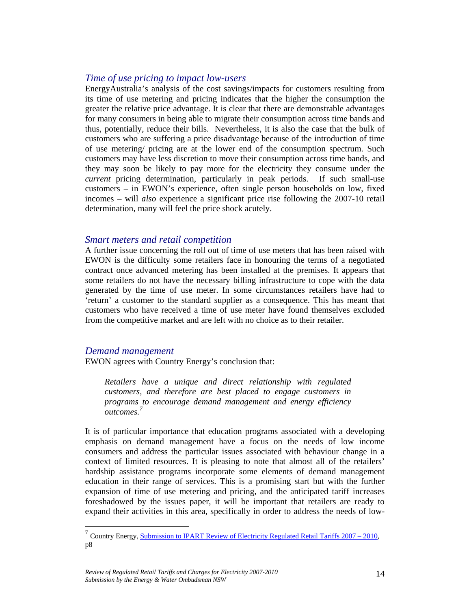## *Time of use pricing to impact low-users*

EnergyAustralia's analysis of the cost savings/impacts for customers resulting from its time of use metering and pricing indicates that the higher the consumption the greater the relative price advantage. It is clear that there are demonstrable advantages for many consumers in being able to migrate their consumption across time bands and thus, potentially, reduce their bills. Nevertheless, it is also the case that the bulk of customers who are suffering a price disadvantage because of the introduction of time of use metering/ pricing are at the lower end of the consumption spectrum. Such customers may have less discretion to move their consumption across time bands, and they may soon be likely to pay more for the electricity they consume under the *current* pricing determination, particularly in peak periods. If such small-use customers – in EWON's experience, often single person households on low, fixed incomes – will *also* experience a significant price rise following the 2007-10 retail determination, many will feel the price shock acutely.

#### *Smart meters and retail competition*

A further issue concerning the roll out of time of use meters that has been raised with EWON is the difficulty some retailers face in honouring the terms of a negotiated contract once advanced metering has been installed at the premises. It appears that some retailers do not have the necessary billing infrastructure to cope with the data generated by the time of use meter. In some circumstances retailers have had to 'return' a customer to the standard supplier as a consequence. This has meant that customers who have received a time of use meter have found themselves excluded from the competitive market and are left with no choice as to their retailer.

### *Demand management*

 $\overline{a}$ 

EWON agrees with Country Energy's conclusion that:

*Retailers have a unique and direct relationship with regulated customers, and therefore are best placed to engage customers in programs to encourage demand management and energy efficiency outcomes.7*

It is of particular importance that education programs associated with a developing emphasis on demand management have a focus on the needs of low income consumers and address the particular issues associated with behaviour change in a context of limited resources. It is pleasing to note that almost all of the retailers' hardship assistance programs incorporate some elements of demand management education in their range of services. This is a promising start but with the further expansion of time of use metering and pricing, and the anticipated tariff increases foreshadowed by the issues paper, it will be important that retailers are ready to expand their activities in this area, specifically in order to address the needs of low-

<sup>&</sup>lt;sup>7</sup> Country Energy, **Submission to IPART Review of Electricity Regulated Retail Tariffs**  $2007 - 2010$ **,** p8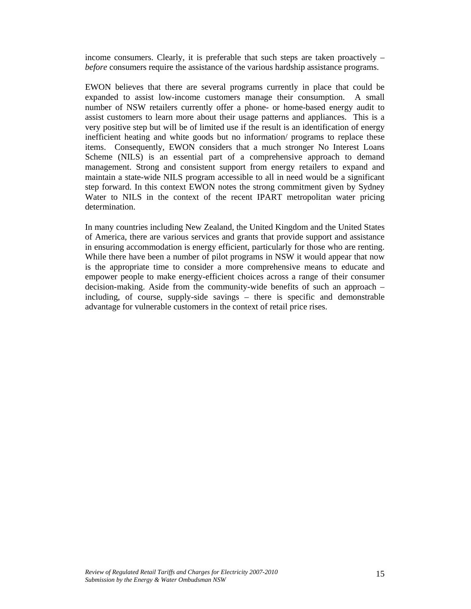income consumers. Clearly, it is preferable that such steps are taken proactively – *before* consumers require the assistance of the various hardship assistance programs.

EWON believes that there are several programs currently in place that could be expanded to assist low-income customers manage their consumption. A small number of NSW retailers currently offer a phone- or home-based energy audit to assist customers to learn more about their usage patterns and appliances. This is a very positive step but will be of limited use if the result is an identification of energy inefficient heating and white goods but no information/ programs to replace these items. Consequently, EWON considers that a much stronger No Interest Loans Scheme (NILS) is an essential part of a comprehensive approach to demand management. Strong and consistent support from energy retailers to expand and maintain a state-wide NILS program accessible to all in need would be a significant step forward. In this context EWON notes the strong commitment given by Sydney Water to NILS in the context of the recent IPART metropolitan water pricing determination.

In many countries including New Zealand, the United Kingdom and the United States of America, there are various services and grants that provide support and assistance in ensuring accommodation is energy efficient, particularly for those who are renting. While there have been a number of pilot programs in NSW it would appear that now is the appropriate time to consider a more comprehensive means to educate and empower people to make energy-efficient choices across a range of their consumer decision-making. Aside from the community-wide benefits of such an approach – including, of course, supply-side savings – there is specific and demonstrable advantage for vulnerable customers in the context of retail price rises.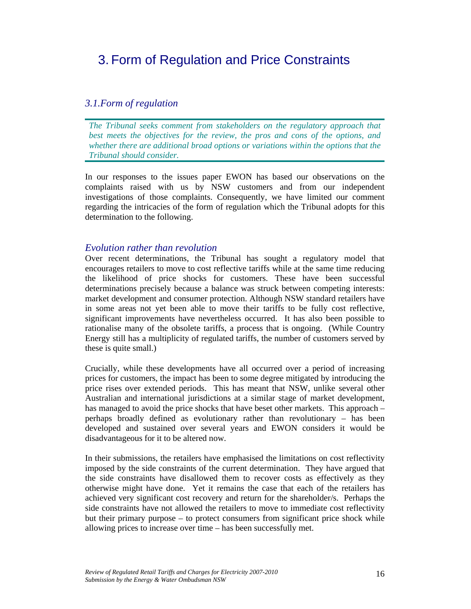# 3. Form of Regulation and Price Constraints

# *3.1.Form of regulation*

*The Tribunal seeks comment from stakeholders on the regulatory approach that best meets the objectives for the review, the pros and cons of the options, and whether there are additional broad options or variations within the options that the Tribunal should consider.* 

In our responses to the issues paper EWON has based our observations on the complaints raised with us by NSW customers and from our independent investigations of those complaints. Consequently, we have limited our comment regarding the intricacies of the form of regulation which the Tribunal adopts for this determination to the following.

## *Evolution rather than revolution*

Over recent determinations, the Tribunal has sought a regulatory model that encourages retailers to move to cost reflective tariffs while at the same time reducing the likelihood of price shocks for customers. These have been successful determinations precisely because a balance was struck between competing interests: market development and consumer protection. Although NSW standard retailers have in some areas not yet been able to move their tariffs to be fully cost reflective, significant improvements have nevertheless occurred. It has also been possible to rationalise many of the obsolete tariffs, a process that is ongoing. (While Country Energy still has a multiplicity of regulated tariffs, the number of customers served by these is quite small.)

Crucially, while these developments have all occurred over a period of increasing prices for customers, the impact has been to some degree mitigated by introducing the price rises over extended periods. This has meant that NSW, unlike several other Australian and international jurisdictions at a similar stage of market development, has managed to avoid the price shocks that have beset other markets. This approach – perhaps broadly defined as evolutionary rather than revolutionary – has been developed and sustained over several years and EWON considers it would be disadvantageous for it to be altered now.

In their submissions, the retailers have emphasised the limitations on cost reflectivity imposed by the side constraints of the current determination. They have argued that the side constraints have disallowed them to recover costs as effectively as they otherwise might have done. Yet it remains the case that each of the retailers has achieved very significant cost recovery and return for the shareholder/s. Perhaps the side constraints have not allowed the retailers to move to immediate cost reflectivity but their primary purpose – to protect consumers from significant price shock while allowing prices to increase over time – has been successfully met.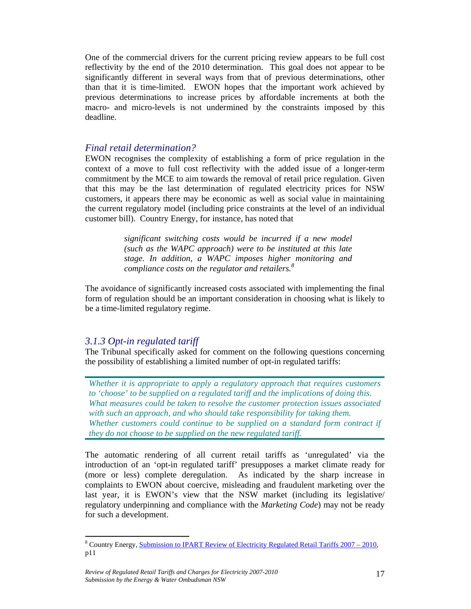One of the commercial drivers for the current pricing review appears to be full cost reflectivity by the end of the 2010 determination. This goal does not appear to be significantly different in several ways from that of previous determinations, other than that it is time-limited. EWON hopes that the important work achieved by previous determinations to increase prices by affordable increments at both the macro- and micro-levels is not undermined by the constraints imposed by this deadline.

## *Final retail determination?*

EWON recognises the complexity of establishing a form of price regulation in the context of a move to full cost reflectivity with the added issue of a longer-term commitment by the MCE to aim towards the removal of retail price regulation. Given that this may be the last determination of regulated electricity prices for NSW customers, it appears there may be economic as well as social value in maintaining the current regulatory model (including price constraints at the level of an individual customer bill). Country Energy, for instance, has noted that

> *significant switching costs would be incurred if a new model (such as the WAPC approach) were to be instituted at this late stage. In addition, a WAPC imposes higher monitoring and compliance costs on the regulator and retailers.<sup>8</sup>*

The avoidance of significantly increased costs associated with implementing the final form of regulation should be an important consideration in choosing what is likely to be a time-limited regulatory regime.

## *3.1.3 Opt-in regulated tariff*

The Tribunal specifically asked for comment on the following questions concerning the possibility of establishing a limited number of opt-in regulated tariffs:

*Whether it is appropriate to apply a regulatory approach that requires customers to 'choose' to be supplied on a regulated tariff and the implications of doing this. What measures could be taken to resolve the customer protection issues associated with such an approach, and who should take responsibility for taking them. Whether customers could continue to be supplied on a standard form contract if they do not choose to be supplied on the new regulated tariff.* 

The automatic rendering of all current retail tariffs as 'unregulated' via the introduction of an 'opt-in regulated tariff' presupposes a market climate ready for (more or less) complete deregulation. As indicated by the sharp increase in complaints to EWON about coercive, misleading and fraudulent marketing over the last year, it is EWON's view that the NSW market (including its legislative/ regulatory underpinning and compliance with the *Marketing Code*) may not be ready for such a development.

 $\overline{a}$ <sup>8</sup> Country Energy, Submission to IPART Review of Electricity Regulated Retail Tariffs 2007 – 2010, p11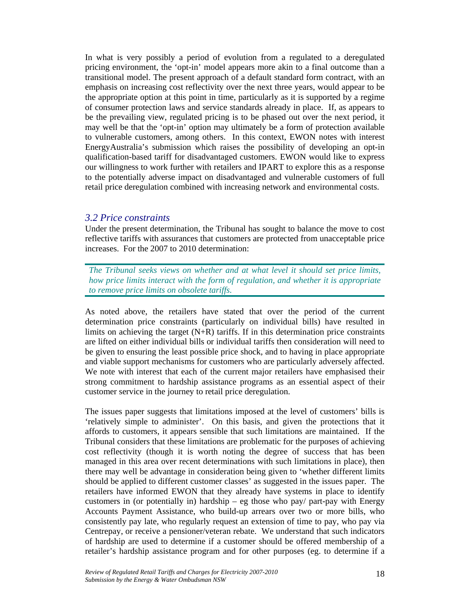In what is very possibly a period of evolution from a regulated to a deregulated pricing environment, the 'opt-in' model appears more akin to a final outcome than a transitional model. The present approach of a default standard form contract, with an emphasis on increasing cost reflectivity over the next three years, would appear to be the appropriate option at this point in time, particularly as it is supported by a regime of consumer protection laws and service standards already in place. If, as appears to be the prevailing view, regulated pricing is to be phased out over the next period, it may well be that the 'opt-in' option may ultimately be a form of protection available to vulnerable customers, among others. In this context, EWON notes with interest EnergyAustralia's submission which raises the possibility of developing an opt-in qualification-based tariff for disadvantaged customers. EWON would like to express our willingness to work further with retailers and IPART to explore this as a response to the potentially adverse impact on disadvantaged and vulnerable customers of full retail price deregulation combined with increasing network and environmental costs.

#### *3.2 Price constraints*

Under the present determination, the Tribunal has sought to balance the move to cost reflective tariffs with assurances that customers are protected from unacceptable price increases. For the 2007 to 2010 determination:

*The Tribunal seeks views on whether and at what level it should set price limits, how price limits interact with the form of regulation, and whether it is appropriate to remove price limits on obsolete tariffs.* 

As noted above, the retailers have stated that over the period of the current determination price constraints (particularly on individual bills) have resulted in limits on achieving the target  $(N+R)$  tariffs. If in this determination price constraints are lifted on either individual bills or individual tariffs then consideration will need to be given to ensuring the least possible price shock, and to having in place appropriate and viable support mechanisms for customers who are particularly adversely affected. We note with interest that each of the current major retailers have emphasised their strong commitment to hardship assistance programs as an essential aspect of their customer service in the journey to retail price deregulation.

The issues paper suggests that limitations imposed at the level of customers' bills is 'relatively simple to administer'. On this basis, and given the protections that it affords to customers, it appears sensible that such limitations are maintained. If the Tribunal considers that these limitations are problematic for the purposes of achieving cost reflectivity (though it is worth noting the degree of success that has been managed in this area over recent determinations with such limitations in place), then there may well be advantage in consideration being given to 'whether different limits should be applied to different customer classes' as suggested in the issues paper. The retailers have informed EWON that they already have systems in place to identify customers in (or potentially in) hardship – eg those who pay/ part-pay with Energy Accounts Payment Assistance, who build-up arrears over two or more bills, who consistently pay late, who regularly request an extension of time to pay, who pay via Centrepay, or receive a pensioner/veteran rebate. We understand that such indicators of hardship are used to determine if a customer should be offered membership of a retailer's hardship assistance program and for other purposes (eg. to determine if a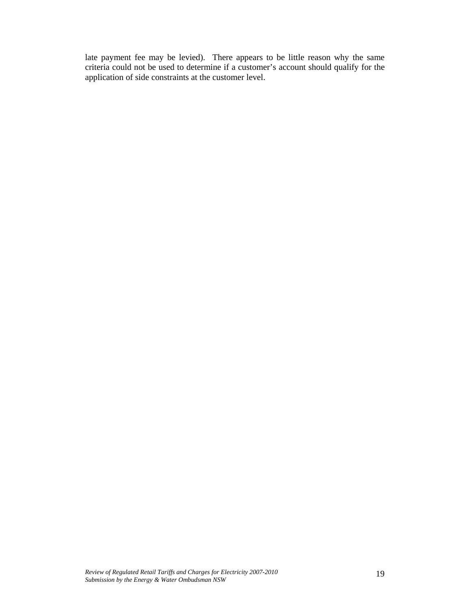late payment fee may be levied). There appears to be little reason why the same criteria could not be used to determine if a customer's account should qualify for the application of side constraints at the customer level.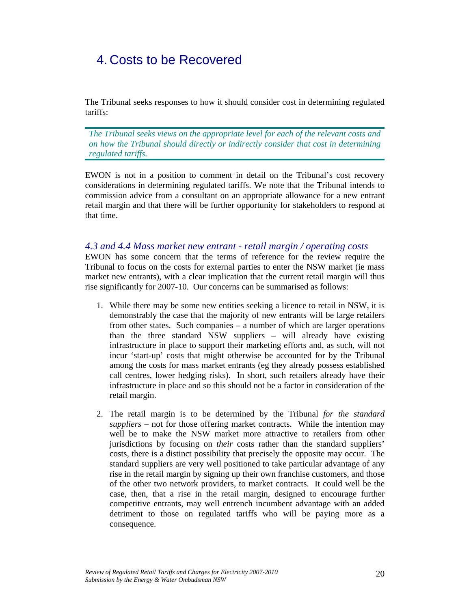# 4. Costs to be Recovered

The Tribunal seeks responses to how it should consider cost in determining regulated tariffs:

*The Tribunal seeks views on the appropriate level for each of the relevant costs and on how the Tribunal should directly or indirectly consider that cost in determining regulated tariffs.* 

EWON is not in a position to comment in detail on the Tribunal's cost recovery considerations in determining regulated tariffs. We note that the Tribunal intends to commission advice from a consultant on an appropriate allowance for a new entrant retail margin and that there will be further opportunity for stakeholders to respond at that time.

### *4.3 and 4.4 Mass market new entrant - retail margin / operating costs*

EWON has some concern that the terms of reference for the review require the Tribunal to focus on the costs for external parties to enter the NSW market (ie mass market new entrants), with a clear implication that the current retail margin will thus rise significantly for 2007-10. Our concerns can be summarised as follows:

- 1. While there may be some new entities seeking a licence to retail in NSW, it is demonstrably the case that the majority of new entrants will be large retailers from other states. Such companies – a number of which are larger operations than the three standard NSW suppliers – will already have existing infrastructure in place to support their marketing efforts and, as such, will not incur 'start-up' costs that might otherwise be accounted for by the Tribunal among the costs for mass market entrants (eg they already possess established call centres, lower hedging risks). In short, such retailers already have their infrastructure in place and so this should not be a factor in consideration of the retail margin.
- 2. The retail margin is to be determined by the Tribunal *for the standard suppliers* – not for those offering market contracts. While the intention may well be to make the NSW market more attractive to retailers from other jurisdictions by focusing on *their* costs rather than the standard suppliers' costs, there is a distinct possibility that precisely the opposite may occur. The standard suppliers are very well positioned to take particular advantage of any rise in the retail margin by signing up their own franchise customers, and those of the other two network providers, to market contracts. It could well be the case, then, that a rise in the retail margin, designed to encourage further competitive entrants, may well entrench incumbent advantage with an added detriment to those on regulated tariffs who will be paying more as a consequence.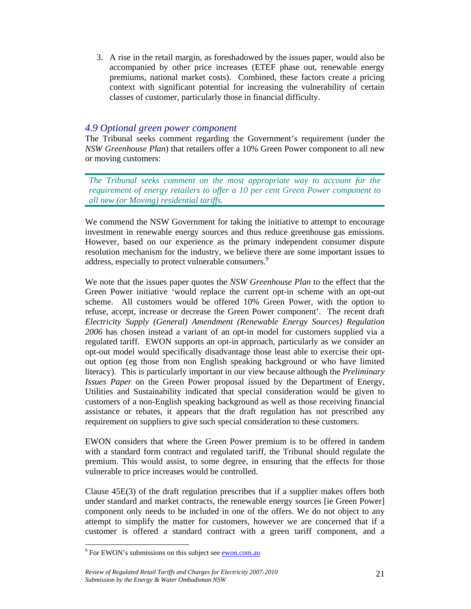3. A rise in the retail margin, as foreshadowed by the issues paper, would also be accompanied by other price increases (ETEF phase out, renewable energy premiums, national market costs). Combined, these factors create a pricing context with significant potential for increasing the vulnerability of certain classes of customer, particularly those in financial difficulty.

# *4.9 Optional green power component*

The Tribunal seeks comment regarding the Government's requirement (under the *NSW Greenhouse Plan*) that retailers offer a 10% Green Power component to all new or moving customers:

*The Tribunal seeks comment on the most appropriate way to account for the requirement of energy retailers to offer a 10 per cent Green Power component to all new (or Moving) residential tariffs.* 

We commend the NSW Government for taking the initiative to attempt to encourage investment in renewable energy sources and thus reduce greenhouse gas emissions. However, based on our experience as the primary independent consumer dispute resolution mechanism for the industry, we believe there are some important issues to address, especially to protect vulnerable consumers.<sup>9</sup>

We note that the issues paper quotes the *NSW Greenhouse Plan* to the effect that the Green Power initiative 'would replace the current opt-in scheme with an opt-out scheme. All customers would be offered 10% Green Power, with the option to refuse, accept, increase or decrease the Green Power component'. The recent draft *Electricity Supply (General) Amendment (Renewable Energy Sources) Regulation 2006* has chosen instead a variant of an opt-in model for customers supplied via a regulated tariff. EWON supports an opt-in approach, particularly as we consider an opt-out model would specifically disadvantage those least able to exercise their optout option (eg those from non English speaking background or who have limited literacy). This is particularly important in our view because although the *Preliminary Issues Paper* on the Green Power proposal issued by the Department of Energy, Utilities and Sustainability indicated that special consideration would be given to customers of a non-English speaking background as well as those receiving financial assistance or rebates, it appears that the draft regulation has not prescribed any requirement on suppliers to give such special consideration to these customers.

EWON considers that where the Green Power premium is to be offered in tandem with a standard form contract and regulated tariff, the Tribunal should regulate the premium. This would assist, to some degree, in ensuring that the effects for those vulnerable to price increases would be controlled.

Clause 45E(3) of the draft regulation prescribes that if a supplier makes offers both under standard and market contracts, the renewable energy sources [ie Green Power] component only needs to be included in one of the offers. We do not object to any attempt to simplify the matter for customers, however we are concerned that if a customer is offered a standard contract with a green tariff component, and a

 $\overline{a}$ 

<sup>&</sup>lt;sup>9</sup> For EWON's submissions on this subject see **ewon.com.au**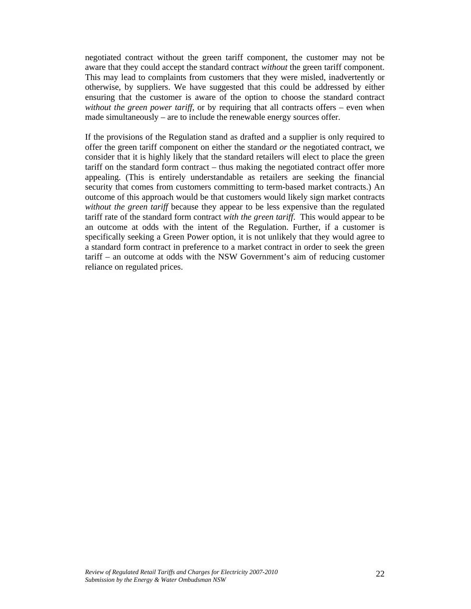negotiated contract without the green tariff component, the customer may not be aware that they could accept the standard contract *without* the green tariff component. This may lead to complaints from customers that they were misled, inadvertently or otherwise, by suppliers. We have suggested that this could be addressed by either ensuring that the customer is aware of the option to choose the standard contract *without the green power tariff*, or by requiring that all contracts offers – even when made simultaneously – are to include the renewable energy sources offer.

If the provisions of the Regulation stand as drafted and a supplier is only required to offer the green tariff component on either the standard *or* the negotiated contract, we consider that it is highly likely that the standard retailers will elect to place the green tariff on the standard form contract – thus making the negotiated contract offer more appealing. (This is entirely understandable as retailers are seeking the financial security that comes from customers committing to term-based market contracts.) An outcome of this approach would be that customers would likely sign market contracts *without the green tariff* because they appear to be less expensive than the regulated tariff rate of the standard form contract *with the green tariff*. This would appear to be an outcome at odds with the intent of the Regulation. Further, if a customer is specifically seeking a Green Power option, it is not unlikely that they would agree to a standard form contract in preference to a market contract in order to seek the green tariff – an outcome at odds with the NSW Government's aim of reducing customer reliance on regulated prices.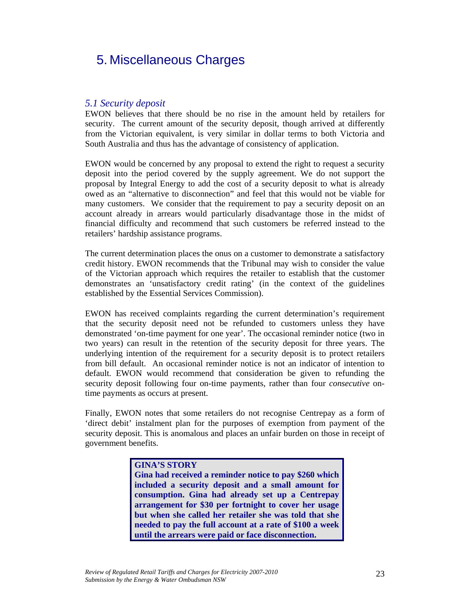# 5. Miscellaneous Charges

# *5.1 Security deposit*

EWON believes that there should be no rise in the amount held by retailers for security. The current amount of the security deposit, though arrived at differently from the Victorian equivalent, is very similar in dollar terms to both Victoria and South Australia and thus has the advantage of consistency of application.

EWON would be concerned by any proposal to extend the right to request a security deposit into the period covered by the supply agreement. We do not support the proposal by Integral Energy to add the cost of a security deposit to what is already owed as an "alternative to disconnection" and feel that this would not be viable for many customers. We consider that the requirement to pay a security deposit on an account already in arrears would particularly disadvantage those in the midst of financial difficulty and recommend that such customers be referred instead to the retailers' hardship assistance programs.

The current determination places the onus on a customer to demonstrate a satisfactory credit history. EWON recommends that the Tribunal may wish to consider the value of the Victorian approach which requires the retailer to establish that the customer demonstrates an 'unsatisfactory credit rating' (in the context of the guidelines established by the Essential Services Commission).

EWON has received complaints regarding the current determination's requirement that the security deposit need not be refunded to customers unless they have demonstrated 'on-time payment for one year'. The occasional reminder notice (two in two years) can result in the retention of the security deposit for three years. The underlying intention of the requirement for a security deposit is to protect retailers from bill default. An occasional reminder notice is not an indicator of intention to default. EWON would recommend that consideration be given to refunding the security deposit following four on-time payments, rather than four *consecutive* ontime payments as occurs at present.

Finally, EWON notes that some retailers do not recognise Centrepay as a form of 'direct debit' instalment plan for the purposes of exemption from payment of the security deposit. This is anomalous and places an unfair burden on those in receipt of government benefits.

### **GINA'S STORY**

**Gina had received a reminder notice to pay \$260 which included a security deposit and a small amount for consumption. Gina had already set up a Centrepay arrangement for \$30 per fortnight to cover her usage but when she called her retailer she was told that she needed to pay the full account at a rate of \$100 a week until the arrears were paid or face disconnection.**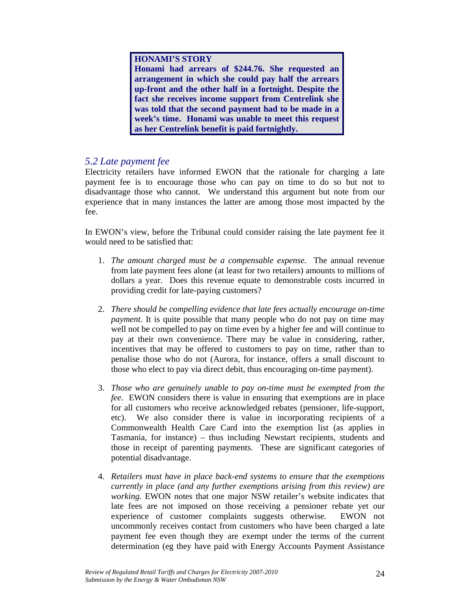### **HONAMI'S STORY**

**Honami had arrears of \$244.76. She requested an arrangement in which she could pay half the arrears up-front and the other half in a fortnight. Despite the fact she receives income support from Centrelink she was told that the second payment had to be made in a week's time. Honami was unable to meet this request as her Centrelink benefit is paid fortnightly.**

# *5.2 Late payment fee*

Electricity retailers have informed EWON that the rationale for charging a late payment fee is to encourage those who can pay on time to do so but not to disadvantage those who cannot. We understand this argument but note from our experience that in many instances the latter are among those most impacted by the fee.

In EWON's view, before the Tribunal could consider raising the late payment fee it would need to be satisfied that:

- 1. *The amount charged must be a compensable expense.* The annual revenue from late payment fees alone (at least for two retailers) amounts to millions of dollars a year. Does this revenue equate to demonstrable costs incurred in providing credit for late-paying customers?
- 2. *There should be compelling evidence that late fees actually encourage on-time payment*. It is quite possible that many people who do not pay on time may well not be compelled to pay on time even by a higher fee and will continue to pay at their own convenience. There may be value in considering, rather, incentives that may be offered to customers to pay on time, rather than to penalise those who do not (Aurora, for instance, offers a small discount to those who elect to pay via direct debit, thus encouraging on-time payment).
- 3. *Those who are genuinely unable to pay on-time must be exempted from the fee*. EWON considers there is value in ensuring that exemptions are in place for all customers who receive acknowledged rebates (pensioner, life-support, etc). We also consider there is value in incorporating recipients of a Commonwealth Health Care Card into the exemption list (as applies in Tasmania, for instance) – thus including Newstart recipients, students and those in receipt of parenting payments. These are significant categories of potential disadvantage.
- 4. *Retailers must have in place back-end systems to ensure that the exemptions currently in place (and any further exemptions arising from this review) are working.* EWON notes that one major NSW retailer's website indicates that late fees are not imposed on those receiving a pensioner rebate yet our experience of customer complaints suggests otherwise. EWON not uncommonly receives contact from customers who have been charged a late payment fee even though they are exempt under the terms of the current determination (eg they have paid with Energy Accounts Payment Assistance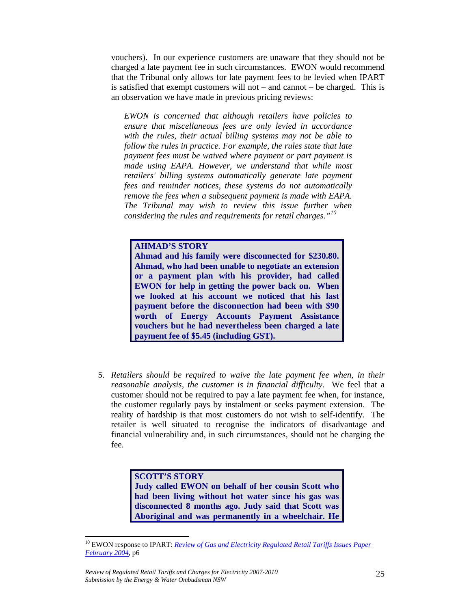vouchers). In our experience customers are unaware that they should not be charged a late payment fee in such circumstances. EWON would recommend that the Tribunal only allows for late payment fees to be levied when IPART is satisfied that exempt customers will not – and cannot – be charged. This is an observation we have made in previous pricing reviews:

*EWON is concerned that although retailers have policies to ensure that miscellaneous fees are only levied in accordance with the rules, their actual billing systems may not be able to follow the rules in practice. For example, the rules state that late payment fees must be waived where payment or part payment is made using EAPA. However, we understand that while most retailers' billing systems automatically generate late payment fees and reminder notices, these systems do not automatically remove the fees when a subsequent payment is made with EAPA. The Tribunal may wish to review this issue further when considering the rules and requirements for retail charges."<sup>10</sup>*

#### **AHMAD'S STORY**

**Ahmad and his family were disconnected for \$230.80. Ahmad, who had been unable to negotiate an extension or a payment plan with his provider, had called EWON for help in getting the power back on. When we looked at his account we noticed that his last payment before the disconnection had been with \$90 worth of Energy Accounts Payment Assistance vouchers but he had nevertheless been charged a late payment fee of \$5.45 (including GST).**

5. *Retailers should be required to waive the late payment fee when, in their reasonable analysis, the customer is in financial difficulty*. We feel that a customer should not be required to pay a late payment fee when, for instance, the customer regularly pays by instalment or seeks payment extension. The reality of hardship is that most customers do not wish to self-identify. The retailer is well situated to recognise the indicators of disadvantage and financial vulnerability and, in such circumstances, should not be charging the fee.

# **SCOTT'S STORY Judy called EWON on behalf of her cousin Scott who**

**had been living without hot water since his gas was disconnected 8 months ago. Judy said that Scott was Aboriginal and was permanently in a wheelchair. He** 

 $\overline{a}$ 

<sup>&</sup>lt;sup>10</sup> EWON response to IPART: *Review of Gas and Electricity Regulated Retail Tariffs Issues Paper February 2004*, p6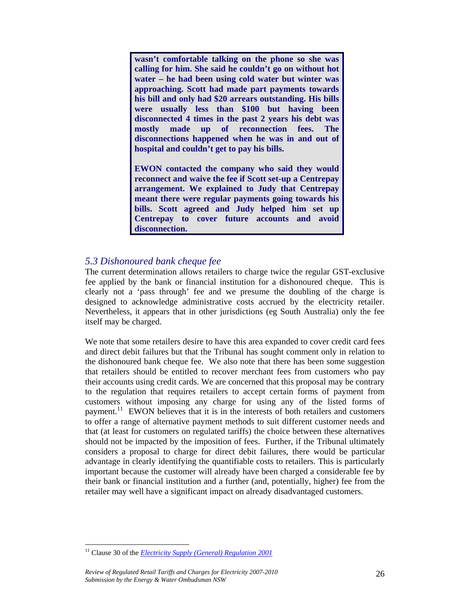**wasn't comfortable talking on the phone so she was calling for him. She said he couldn't go on without hot water – he had been using cold water but winter was approaching. Scott had made part payments towards his bill and only had \$20 arrears outstanding. His bills were usually less than \$100 but having been disconnected 4 times in the past 2 years his debt was mostly made up of reconnection fees. The disconnections happened when he was in and out of hospital and couldn't get to pay his bills.** 

**EWON contacted the company who said they would reconnect and waive the fee if Scott set-up a Centrepay arrangement. We explained to Judy that Centrepay meant there were regular payments going towards his bills. Scott agreed and Judy helped him set up Centrepay to cover future accounts and avoid disconnection.**

# *5.3 Dishonoured bank cheque fee*

The current determination allows retailers to charge twice the regular GST-exclusive fee applied by the bank or financial institution for a dishonoured cheque. This is clearly not a 'pass through' fee and we presume the doubling of the charge is designed to acknowledge administrative costs accrued by the electricity retailer. Nevertheless, it appears that in other jurisdictions (eg South Australia) only the fee itself may be charged.

We note that some retailers desire to have this area expanded to cover credit card fees and direct debit failures but that the Tribunal has sought comment only in relation to the dishonoured bank cheque fee. We also note that there has been some suggestion that retailers should be entitled to recover merchant fees from customers who pay their accounts using credit cards. We are concerned that this proposal may be contrary to the regulation that requires retailers to accept certain forms of payment from customers without imposing any charge for using any of the listed forms of payment.<sup>11</sup> EWON believes that it is in the interests of both retailers and customers to offer a range of alternative payment methods to suit different customer needs and that (at least for customers on regulated tariffs) the choice between these alternatives should not be impacted by the imposition of fees. Further, if the Tribunal ultimately considers a proposal to charge for direct debit failures, there would be particular advantage in clearly identifying the quantifiable costs to retailers. This is particularly important because the customer will already have been charged a considerable fee by their bank or financial institution and a further (and, potentially, higher) fee from the retailer may well have a significant impact on already disadvantaged customers.

 $\overline{a}$ 

<sup>11</sup> Clause 30 of the *Electricity Supply (General) Regulation 2001*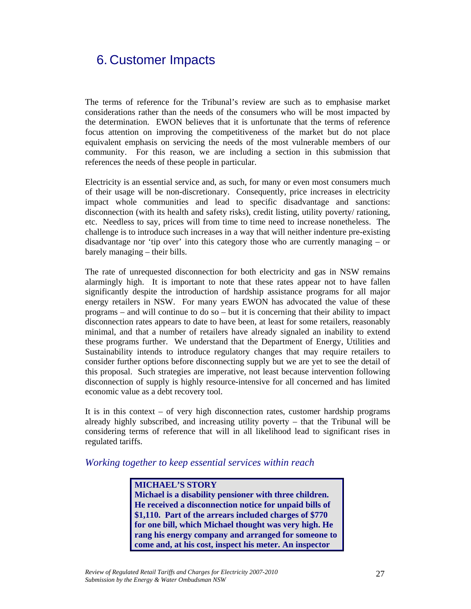# 6. Customer Impacts

The terms of reference for the Tribunal's review are such as to emphasise market considerations rather than the needs of the consumers who will be most impacted by the determination. EWON believes that it is unfortunate that the terms of reference focus attention on improving the competitiveness of the market but do not place equivalent emphasis on servicing the needs of the most vulnerable members of our community. For this reason, we are including a section in this submission that references the needs of these people in particular.

Electricity is an essential service and, as such, for many or even most consumers much of their usage will be non-discretionary. Consequently, price increases in electricity impact whole communities and lead to specific disadvantage and sanctions: disconnection (with its health and safety risks), credit listing, utility poverty/ rationing, etc. Needless to say, prices will from time to time need to increase nonetheless. The challenge is to introduce such increases in a way that will neither indenture pre-existing disadvantage nor 'tip over' into this category those who are currently managing – or barely managing – their bills.

The rate of unrequested disconnection for both electricity and gas in NSW remains alarmingly high. It is important to note that these rates appear not to have fallen significantly despite the introduction of hardship assistance programs for all major energy retailers in NSW. For many years EWON has advocated the value of these programs – and will continue to do so – but it is concerning that their ability to impact disconnection rates appears to date to have been, at least for some retailers, reasonably minimal, and that a number of retailers have already signaled an inability to extend these programs further. We understand that the Department of Energy, Utilities and Sustainability intends to introduce regulatory changes that may require retailers to consider further options before disconnecting supply but we are yet to see the detail of this proposal. Such strategies are imperative, not least because intervention following disconnection of supply is highly resource-intensive for all concerned and has limited economic value as a debt recovery tool.

It is in this context – of very high disconnection rates, customer hardship programs already highly subscribed, and increasing utility poverty – that the Tribunal will be considering terms of reference that will in all likelihood lead to significant rises in regulated tariffs.

## *Working together to keep essential services within reach*

**MICHAEL'S STORY Michael is a disability pensioner with three children. He received a disconnection notice for unpaid bills of \$1,110. Part of the arrears included charges of \$770 for one bill, which Michael thought was very high. He rang his energy company and arranged for someone to come and, at his cost, inspect his meter. An inspector**